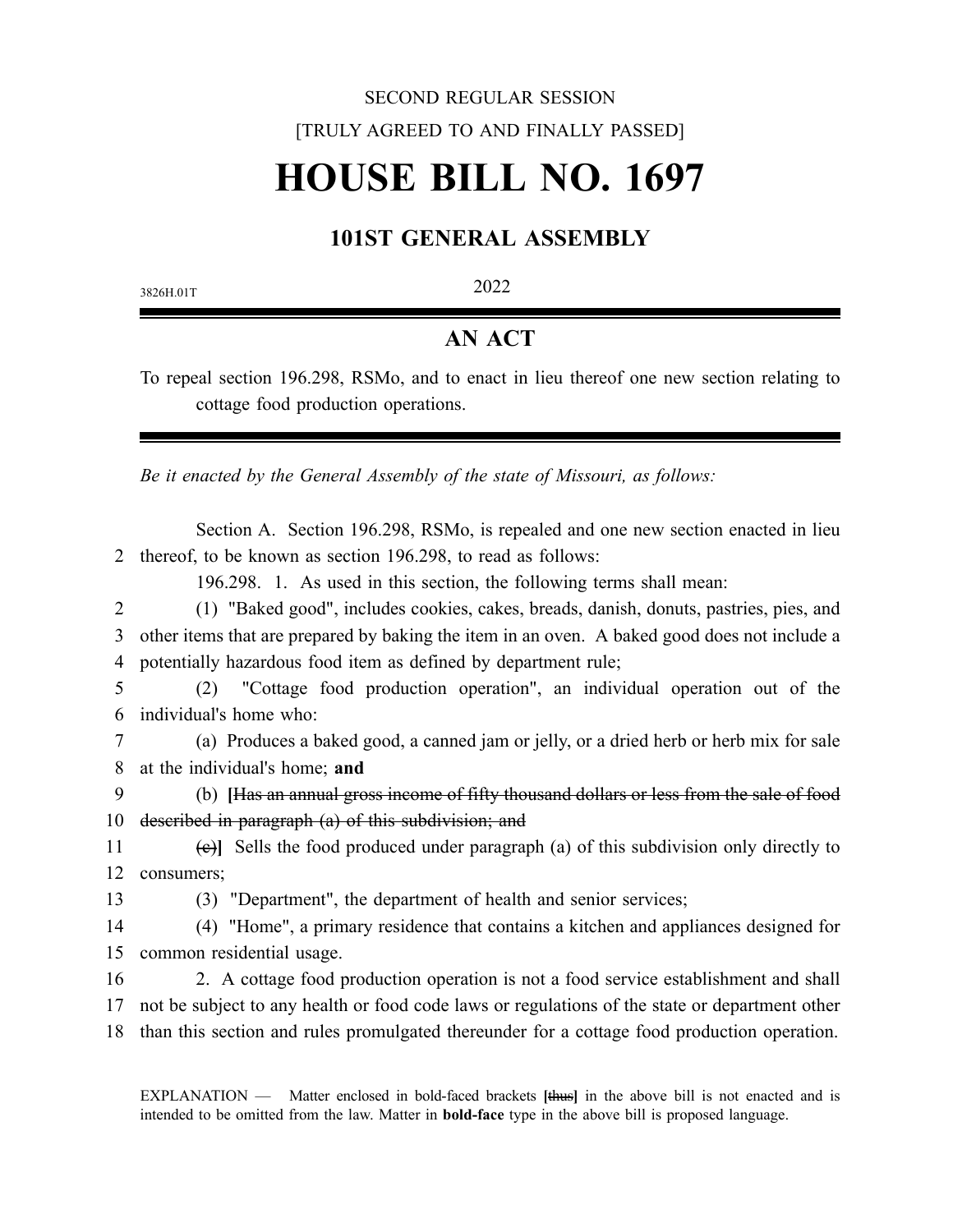## SECOND REGULAR SESSION [TRULY AGREED TO AND FINALLY PASSED] **HOUSE BILL NO. 1697**

## **101ST GENERAL ASSEMBLY**

3826H.01T 2022

## **AN ACT**

To repeal section 196.298, RSMo, and to enact in lieu thereof one new section relating to cottage food production operations.

*Be it enacted by the General Assembly of the state of Missouri, as follows:*

Section A. Section 196.298, RSMo, is repealed and one new section enacted in lieu 2 thereof, to be known as section 196.298, to read as follows:

196.298. 1. As used in this section, the following terms shall mean:

2 (1) "Baked good", includes cookies, cakes, breads, danish, donuts, pastries, pies, and 3 other items that are prepared by baking the item in an oven. A baked good does not include a 4 potentially hazardous food item as defined by department rule;

5 (2) "Cottage food production operation", an individual operation out of the 6 individual's home who:

7 (a) Produces a baked good, a canned jam or jelly, or a dried herb or herb mix for sale 8 at the individual's home; **and**

9 (b) **[**Has an annual gross income of fifty thousand dollars or less from the sale of food 10 described in paragraph (a) of this subdivision; and

11 (e)**]** Sells the food produced under paragraph (a) of this subdivision only directly to 12 consumers;

13 (3) "Department", the department of health and senior services;

14 (4) "Home", a primary residence that contains a kitchen and appliances designed for 15 common residential usage.

16 2. A cottage food production operation is not a food service establishment and shall 17 not be subject to any health or food code laws or regulations of the state or department other 18 than this section and rules promulgated thereunder for a cottage food production operation.

EXPLANATION — Matter enclosed in bold-faced brackets **[**thus**]** in the above bill is not enacted and is intended to be omitted from the law. Matter in **bold-face** type in the above bill is proposed language.